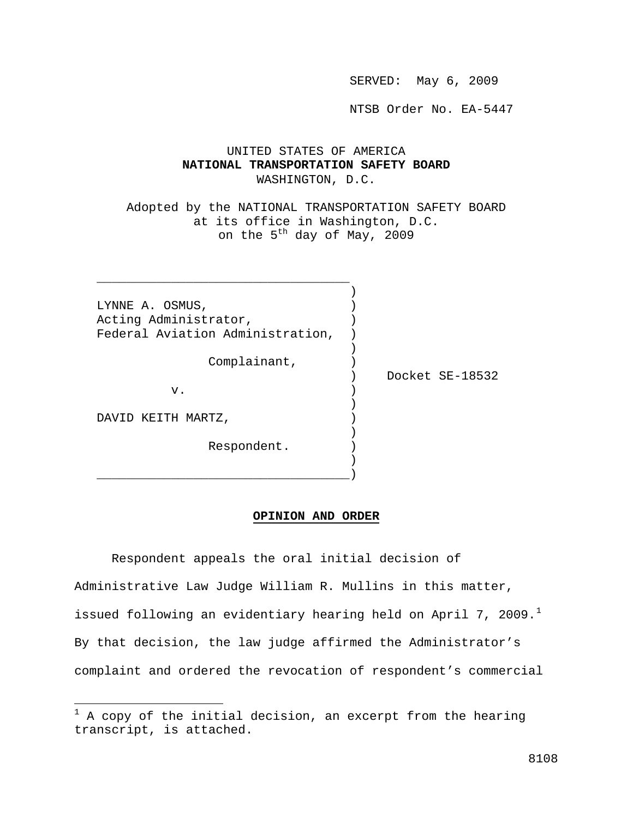SERVED: May 6, 2009

NTSB Order No. EA-5447

# UNITED STATES OF AMERICA **NATIONAL TRANSPORTATION SAFETY BOARD** WASHINGTON, D.C.

 Adopted by the NATIONAL TRANSPORTATION SAFETY BOARD at its office in Washington, D.C. on the  $5<sup>th</sup>$  day of May, 2009

LYNNE A. OSMUS, Acting Administrator, (a) Federal Aviation Administration, )

) and the contract of  $\mathcal{L}$ 

) and the contract of  $\mathcal{L}$ 

) and the contract of  $\mathcal{L}$ 

) and the contract of  $\mathcal{L}$ \_\_\_\_\_\_\_\_\_\_\_\_\_\_\_\_\_\_\_\_\_\_\_\_\_\_\_\_\_\_\_\_\_\_)

 $\frac{1}{2}$  ,  $\frac{1}{2}$  ,  $\frac{1}{2}$  ,  $\frac{1}{2}$  ,  $\frac{1}{2}$  ,  $\frac{1}{2}$  ,  $\frac{1}{2}$  ,  $\frac{1}{2}$  ,  $\frac{1}{2}$  ,  $\frac{1}{2}$  ,  $\frac{1}{2}$  ,  $\frac{1}{2}$  ,  $\frac{1}{2}$  ,  $\frac{1}{2}$  ,  $\frac{1}{2}$  ,  $\frac{1}{2}$  ,  $\frac{1}{2}$  ,  $\frac{1}{2}$  ,  $\frac{1$ ) and the contract of  $\mathcal{L}$ 

Complainant,  $)$ 

 $\mathbf v$  .  $\qquad \qquad \qquad$  )

) Docket SE-18532

DAVID KEITH MARTZ,

 $\overline{a}$ 

Respondent.

#### **OPINION AND ORDER**

 Respondent appeals the oral initial decision of Administrative Law Judge William R. Mullins in this matter, issued following an evidentiary hearing held on April 7, 2009.<sup>[1](#page-0-0)</sup> By that decision, the law judge affirmed the Administrator's complaint and ordered the revocation of respondent's commercial

<span id="page-0-0"></span> $1$  A copy of the initial decision, an excerpt from the hearing transcript, is attached.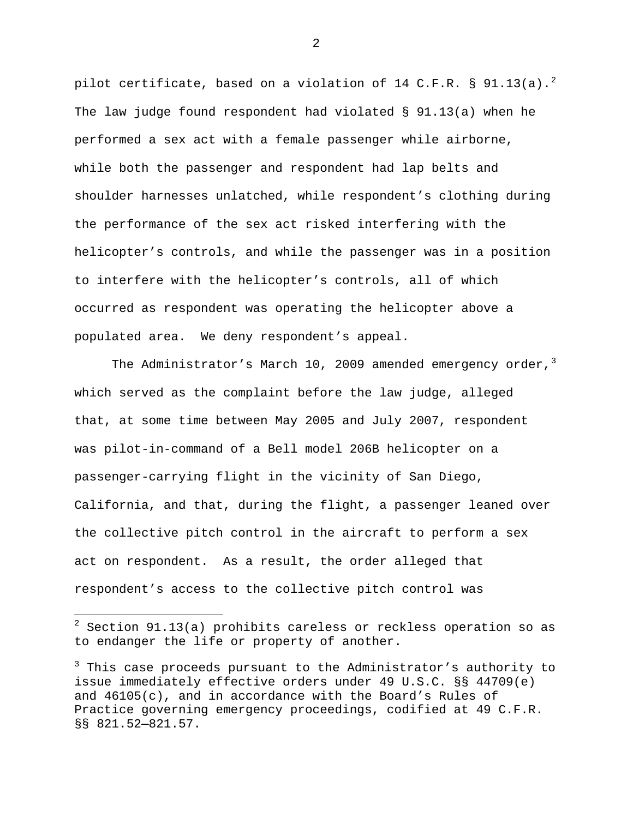pilot certificate, based on a violation of 14 C.F.R. § 91.13(a).<sup>[2](#page-1-0)</sup> The law judge found respondent had violated § 91.13(a) when he performed a sex act with a female passenger while airborne, while both the passenger and respondent had lap belts and shoulder harnesses unlatched, while respondent's clothing during the performance of the sex act risked interfering with the helicopter's controls, and while the passenger was in a position to interfere with the helicopter's controls, all of which occurred as respondent was operating the helicopter above a populated area. We deny respondent's appeal.

The Administrator's March 10, 2009 amended emergency order,  $3$ which served as the complaint before the law judge, alleged that, at some time between May 2005 and July 2007, respondent was pilot-in-command of a Bell model 206B helicopter on a passenger-carrying flight in the vicinity of San Diego, California, and that, during the flight, a passenger leaned over the collective pitch control in the aircraft to perform a sex act on respondent. As a result, the order alleged that respondent's access to the collective pitch control was

<u>.</u>

<span id="page-1-0"></span> $^2$  Section 91.13(a) prohibits careless or reckless operation so as to endanger the life or property of another.

<span id="page-1-1"></span><sup>&</sup>lt;sup>3</sup> This case proceeds pursuant to the Administrator's authority to issue immediately effective orders under 49 U.S.C. §§ 44709(e) and 46105(c), and in accordance with the Board's Rules of Practice governing emergency proceedings, codified at 49 C.F.R. §§ 821.52—821.57.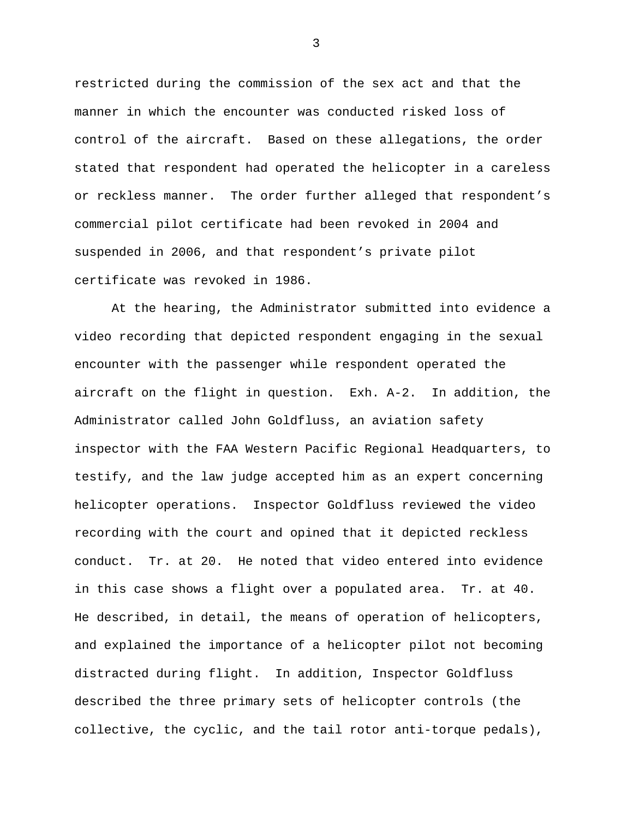restricted during the commission of the sex act and that the manner in which the encounter was conducted risked loss of control of the aircraft. Based on these allegations, the order stated that respondent had operated the helicopter in a careless or reckless manner. The order further alleged that respondent's commercial pilot certificate had been revoked in 2004 and suspended in 2006, and that respondent's private pilot certificate was revoked in 1986.

 At the hearing, the Administrator submitted into evidence a video recording that depicted respondent engaging in the sexual encounter with the passenger while respondent operated the aircraft on the flight in question. Exh. A-2. In addition, the Administrator called John Goldfluss, an aviation safety inspector with the FAA Western Pacific Regional Headquarters, to testify, and the law judge accepted him as an expert concerning helicopter operations. Inspector Goldfluss reviewed the video recording with the court and opined that it depicted reckless conduct. Tr. at 20. He noted that video entered into evidence in this case shows a flight over a populated area. Tr. at 40. He described, in detail, the means of operation of helicopters, and explained the importance of a helicopter pilot not becoming distracted during flight. In addition, Inspector Goldfluss described the three primary sets of helicopter controls (the collective, the cyclic, and the tail rotor anti-torque pedals),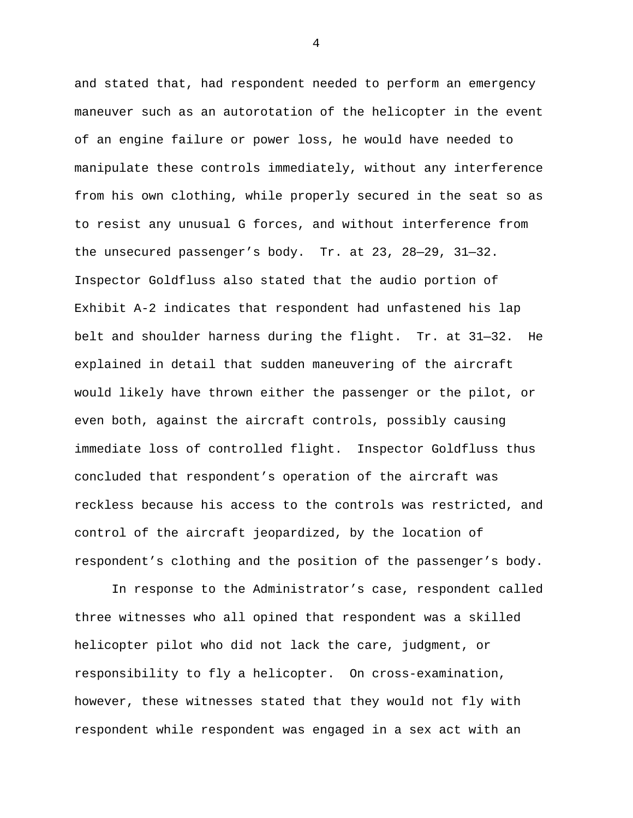and stated that, had respondent needed to perform an emergency maneuver such as an autorotation of the helicopter in the event of an engine failure or power loss, he would have needed to manipulate these controls immediately, without any interference from his own clothing, while properly secured in the seat so as to resist any unusual G forces, and without interference from the unsecured passenger's body. Tr. at 23, 28—29, 31—32. Inspector Goldfluss also stated that the audio portion of Exhibit A-2 indicates that respondent had unfastened his lap belt and shoulder harness during the flight. Tr. at 31—32. He explained in detail that sudden maneuvering of the aircraft would likely have thrown either the passenger or the pilot, or even both, against the aircraft controls, possibly causing immediate loss of controlled flight. Inspector Goldfluss thus concluded that respondent's operation of the aircraft was reckless because his access to the controls was restricted, and control of the aircraft jeopardized, by the location of respondent's clothing and the position of the passenger's body.

 In response to the Administrator's case, respondent called three witnesses who all opined that respondent was a skilled helicopter pilot who did not lack the care, judgment, or responsibility to fly a helicopter. On cross-examination, however, these witnesses stated that they would not fly with respondent while respondent was engaged in a sex act with an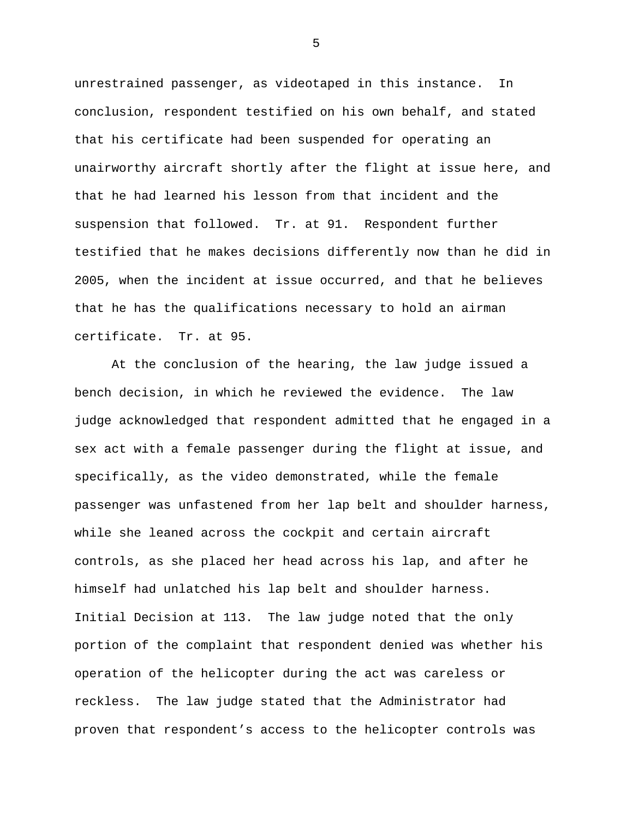unrestrained passenger, as videotaped in this instance. In conclusion, respondent testified on his own behalf, and stated that his certificate had been suspended for operating an unairworthy aircraft shortly after the flight at issue here, and that he had learned his lesson from that incident and the suspension that followed. Tr. at 91. Respondent further testified that he makes decisions differently now than he did in 2005, when the incident at issue occurred, and that he believes that he has the qualifications necessary to hold an airman certificate. Tr. at 95.

 At the conclusion of the hearing, the law judge issued a bench decision, in which he reviewed the evidence. The law judge acknowledged that respondent admitted that he engaged in a sex act with a female passenger during the flight at issue, and specifically, as the video demonstrated, while the female passenger was unfastened from her lap belt and shoulder harness, while she leaned across the cockpit and certain aircraft controls, as she placed her head across his lap, and after he himself had unlatched his lap belt and shoulder harness. Initial Decision at 113. The law judge noted that the only portion of the complaint that respondent denied was whether his operation of the helicopter during the act was careless or reckless. The law judge stated that the Administrator had proven that respondent's access to the helicopter controls was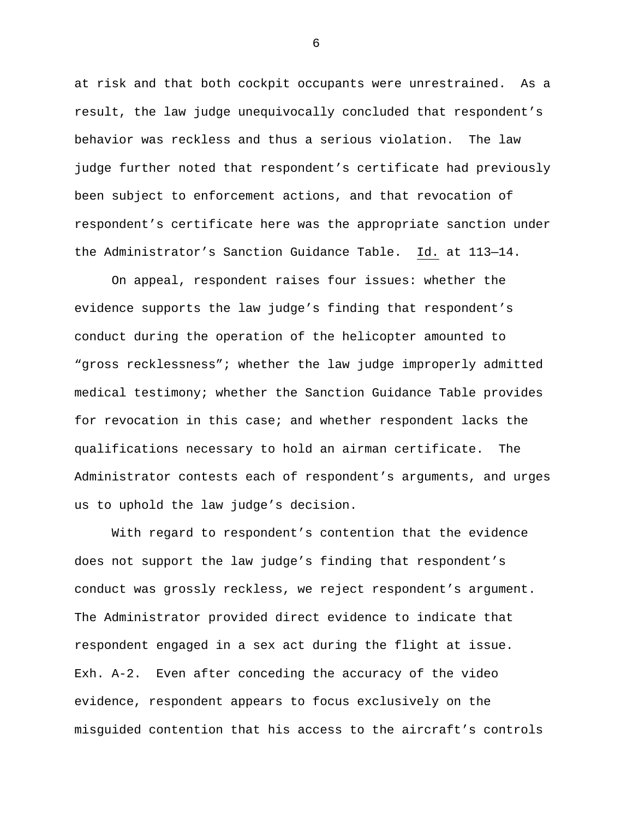at risk and that both cockpit occupants were unrestrained. As a result, the law judge unequivocally concluded that respondent's behavior was reckless and thus a serious violation. The law judge further noted that respondent's certificate had previously been subject to enforcement actions, and that revocation of respondent's certificate here was the appropriate sanction under the Administrator's Sanction Guidance Table. Id. at 113—14.

 On appeal, respondent raises four issues: whether the evidence supports the law judge's finding that respondent's conduct during the operation of the helicopter amounted to "gross recklessness"; whether the law judge improperly admitted medical testimony; whether the Sanction Guidance Table provides for revocation in this case; and whether respondent lacks the qualifications necessary to hold an airman certificate. The Administrator contests each of respondent's arguments, and urges us to uphold the law judge's decision.

 With regard to respondent's contention that the evidence does not support the law judge's finding that respondent's conduct was grossly reckless, we reject respondent's argument. The Administrator provided direct evidence to indicate that respondent engaged in a sex act during the flight at issue. Exh. A-2. Even after conceding the accuracy of the video evidence, respondent appears to focus exclusively on the misguided contention that his access to the aircraft's controls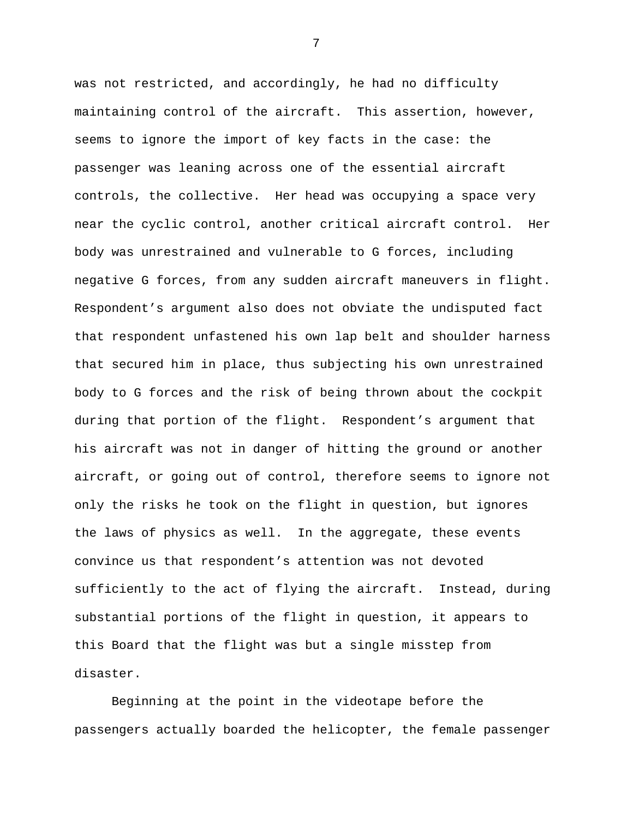was not restricted, and accordingly, he had no difficulty maintaining control of the aircraft. This assertion, however, seems to ignore the import of key facts in the case: the passenger was leaning across one of the essential aircraft controls, the collective. Her head was occupying a space very near the cyclic control, another critical aircraft control. Her body was unrestrained and vulnerable to G forces, including negative G forces, from any sudden aircraft maneuvers in flight. Respondent's argument also does not obviate the undisputed fact that respondent unfastened his own lap belt and shoulder harness that secured him in place, thus subjecting his own unrestrained body to G forces and the risk of being thrown about the cockpit during that portion of the flight. Respondent's argument that his aircraft was not in danger of hitting the ground or another aircraft, or going out of control, therefore seems to ignore not only the risks he took on the flight in question, but ignores the laws of physics as well. In the aggregate, these events convince us that respondent's attention was not devoted sufficiently to the act of flying the aircraft. Instead, during substantial portions of the flight in question, it appears to this Board that the flight was but a single misstep from disaster.

 Beginning at the point in the videotape before the passengers actually boarded the helicopter, the female passenger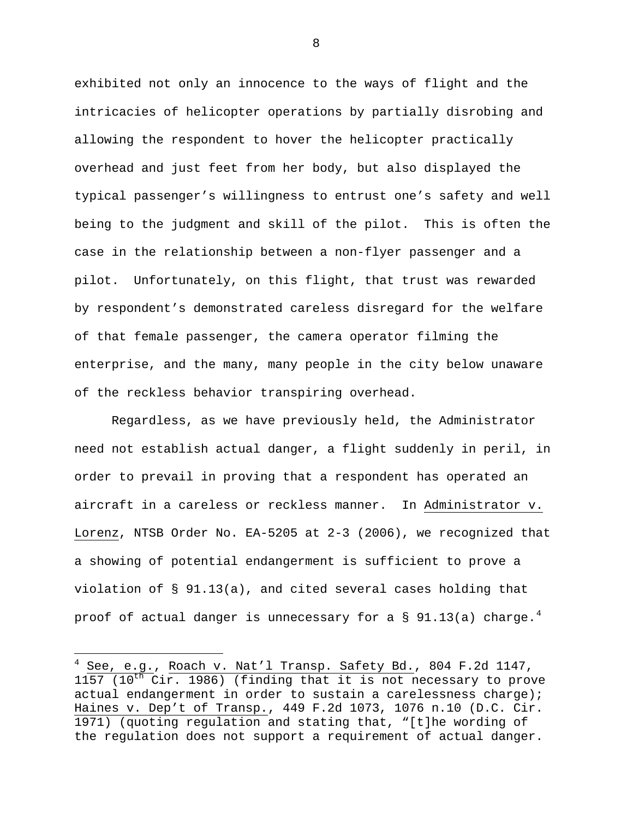exhibited not only an innocence to the ways of flight and the intricacies of helicopter operations by partially disrobing and allowing the respondent to hover the helicopter practically overhead and just feet from her body, but also displayed the typical passenger's willingness to entrust one's safety and well being to the judgment and skill of the pilot. This is often the case in the relationship between a non-flyer passenger and a pilot. Unfortunately, on this flight, that trust was rewarded by respondent's demonstrated careless disregard for the welfare of that female passenger, the camera operator filming the enterprise, and the many, many people in the city below unaware of the reckless behavior transpiring overhead.

 Regardless, as we have previously held, the Administrator need not establish actual danger, a flight suddenly in peril, in order to prevail in proving that a respondent has operated an aircraft in a careless or reckless manner. In Administrator v. Lorenz, NTSB Order No. EA-5205 at 2-3 (2006), we recognized that a showing of potential endangerment is sufficient to prove a violation of § 91.13(a), and cited several cases holding that proof of actual danger is unnecessary for a § 91.13(a) charge.<sup>[4](#page-7-0)</sup>

 $\overline{a}$ 

<span id="page-7-0"></span>See, e.g., Roach v. Nat'l Transp. Safety Bd., 804 F.2d 1147,  $1157$  ( $10$ <sup>th</sup> Cir. 1986) (finding that it is not necessary to prove actual endangerment in order to sustain a carelessness charge); Haines v. Dep't of Transp., 449 F.2d 1073, 1076 n.10 (D.C. Cir. 1971) (quoting regulation and stating that, "[t]he wording of the regulation does not support a requirement of actual danger.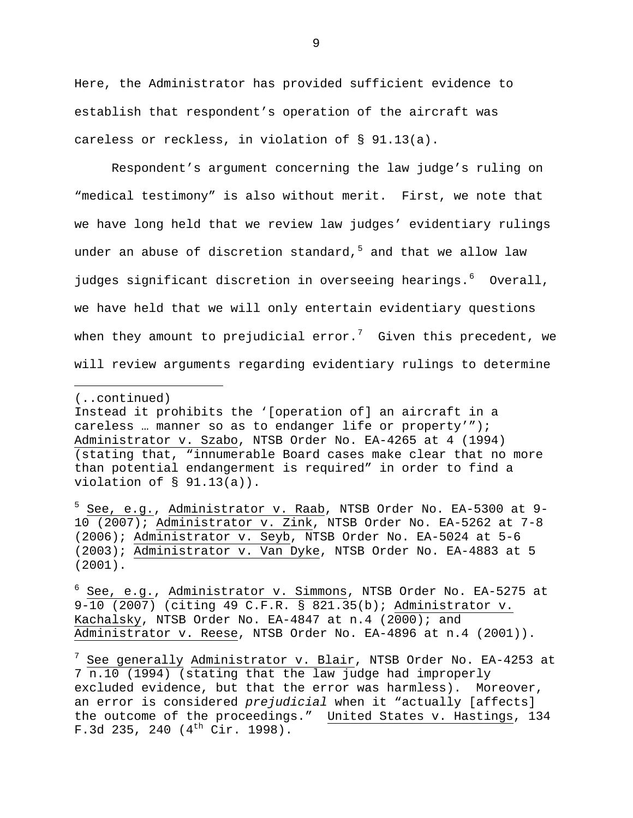Here, the Administrator has provided sufficient evidence to establish that respondent's operation of the aircraft was careless or reckless, in violation of § 91.13(a).

Respondent's argument concerning the law judge's ruling on "medical testimony" is also without merit. First, we note that we have long held that we review law judges' evidentiary rulings under an abuse of discretion standard,  $5$  and that we allow law judges significant discretion in overseeing hearings.<sup>[6](#page-8-1)</sup> Overall, we have held that we will only entertain evidentiary questions when they amount to prejudicial error.<sup>[7](#page-8-2)</sup> Given this precedent, we will review arguments regarding evidentiary rulings to determine

<sup>(..</sup>continued)

Instead it prohibits the '[operation of] an aircraft in a careless … manner so as to endanger life or property'"); Administrator v. Szabo, NTSB Order No. EA-4265 at 4 (1994) (stating that, "innumerable Board cases make clear that no more than potential endangerment is required" in order to find a violation of § 91.13(a)).

<span id="page-8-0"></span><sup>&</sup>lt;sup>5</sup> See, e.g., Administrator v. Raab, NTSB Order No. EA-5300 at 9-10 (2007); Administrator v. Zink, NTSB Order No. EA-5262 at 7-8 (2006); Administrator v. Seyb, NTSB Order No. EA-5024 at 5-6 (2003); Administrator v. Van Dyke, NTSB Order No. EA-4883 at 5 (2001).

<span id="page-8-1"></span> $6$  See, e.g., Administrator v. Simmons, NTSB Order No. EA-5275 at 9-10 (2007) (citing 49 C.F.R. § 821.35(b); Administrator v. Kachalsky, NTSB Order No. EA-4847 at n.4 (2000); and Administrator v. Reese, NTSB Order No. EA-4896 at n.4 (2001)).

<span id="page-8-2"></span> $7$  See generally Administrator v. Blair, NTSB Order No. EA-4253 at 7 n.10 (1994) (stating that the law judge had improperly excluded evidence, but that the error was harmless). Moreover, an error is considered *prejudicial* when it "actually [affects] the outcome of the proceedings." United States v. Hastings, 134 F.3d 235, 240  $(4<sup>th</sup> Cir. 1998)$ .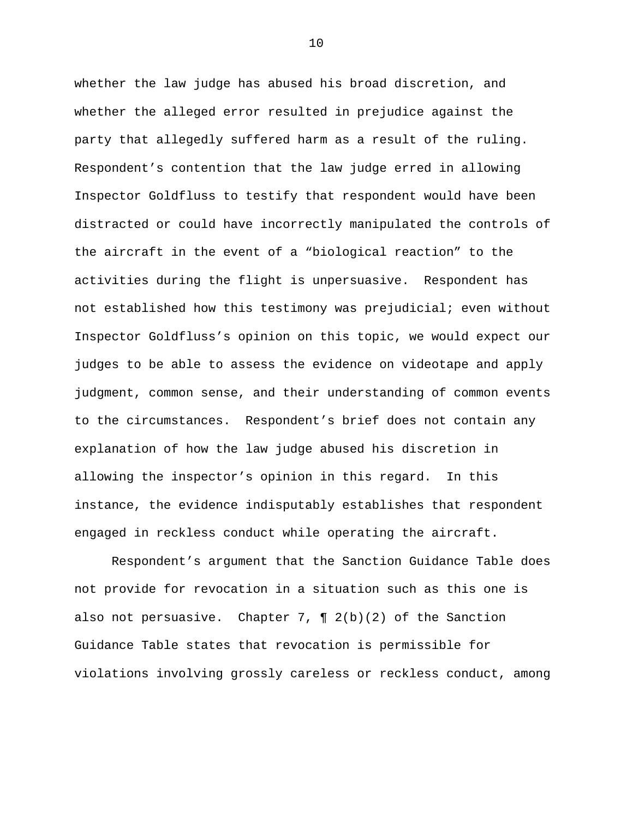whether the law judge has abused his broad discretion, and whether the alleged error resulted in prejudice against the party that allegedly suffered harm as a result of the ruling. Respondent's contention that the law judge erred in allowing Inspector Goldfluss to testify that respondent would have been distracted or could have incorrectly manipulated the controls of the aircraft in the event of a "biological reaction" to the activities during the flight is unpersuasive. Respondent has not established how this testimony was prejudicial; even without Inspector Goldfluss's opinion on this topic, we would expect our judges to be able to assess the evidence on videotape and apply judgment, common sense, and their understanding of common events to the circumstances. Respondent's brief does not contain any explanation of how the law judge abused his discretion in allowing the inspector's opinion in this regard. In this instance, the evidence indisputably establishes that respondent engaged in reckless conduct while operating the aircraft.

 Respondent's argument that the Sanction Guidance Table does not provide for revocation in a situation such as this one is also not persuasive. Chapter 7,  $\P$  2(b)(2) of the Sanction Guidance Table states that revocation is permissible for violations involving grossly careless or reckless conduct, among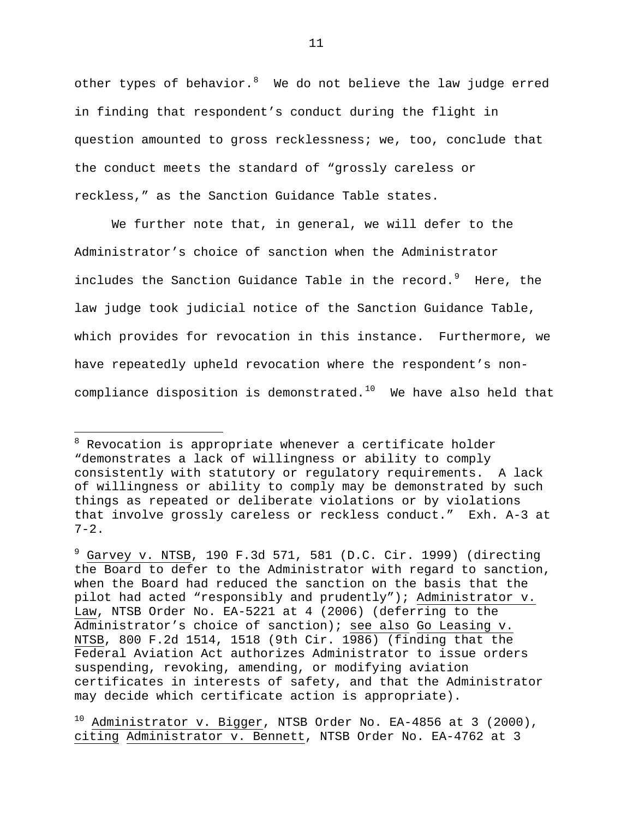other types of behavior. $8\degree$  $8\degree$  We do not believe the law judge erred in finding that respondent's conduct during the flight in question amounted to gross recklessness; we, too, conclude that the conduct meets the standard of "grossly careless or reckless," as the Sanction Guidance Table states.

 We further note that, in general, we will defer to the Administrator's choice of sanction when the Administrator includes the Sanction Guidance Table in the record.  $9$  Here, the law judge took judicial notice of the Sanction Guidance Table, which provides for revocation in this instance. Furthermore, we have repeatedly upheld revocation where the respondent's non-compliance disposition is demonstrated.<sup>[10](#page-10-2)</sup> We have also held that

 $\overline{a}$ 

<span id="page-10-0"></span><sup>&</sup>lt;sup>8</sup> Revocation is appropriate whenever a certificate holder "demonstrates a lack of willingness or ability to comply consistently with statutory or regulatory requirements. A lack of willingness or ability to comply may be demonstrated by such things as repeated or deliberate violations or by violations that involve grossly careless or reckless conduct." Exh. A-3 at  $7 - 2$ .

<span id="page-10-1"></span> $9$  Garvey v. NTSB, 190 F.3d 571, 581 (D.C. Cir. 1999) (directing the Board to defer to the Administrator with regard to sanction, when the Board had reduced the sanction on the basis that the pilot had acted "responsibly and prudently"); Administrator v. Law, NTSB Order No. EA-5221 at 4 (2006) (deferring to the Administrator's choice of sanction); see also Go Leasing v. NTSB, 800 F.2d 1514, 1518 (9th Cir. 1986) (finding that the Federal Aviation Act authorizes Administrator to issue orders suspending, revoking, amending, or modifying aviation certificates in interests of safety, and that the Administrator may decide which certificate action is appropriate).

<span id="page-10-2"></span> $10$  Administrator v. Bigger, NTSB Order No. EA-4856 at 3 (2000), citing Administrator v. Bennett, NTSB Order No. EA-4762 at 3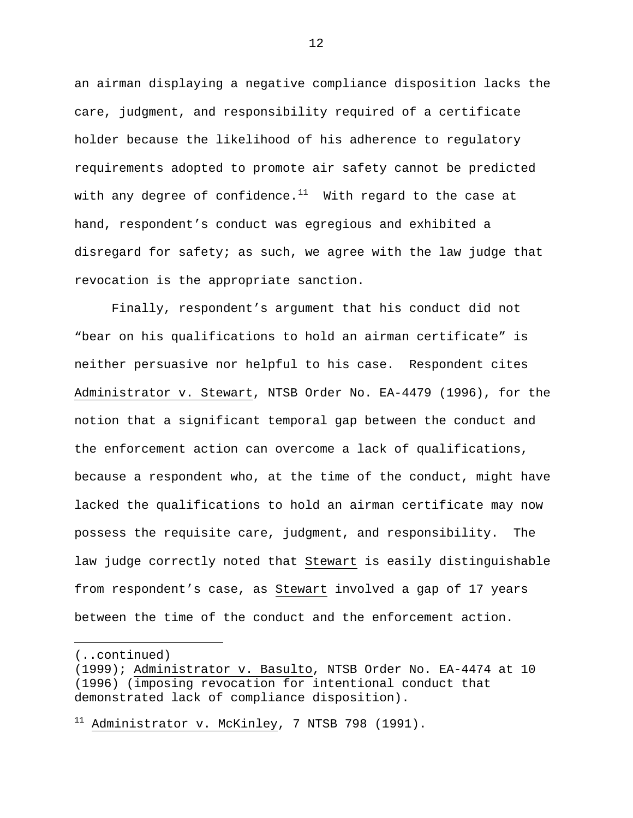an airman displaying a negative compliance disposition lacks the care, judgment, and responsibility required of a certificate holder because the likelihood of his adherence to regulatory requirements adopted to promote air safety cannot be predicted with any degree of confidence. $11$  With regard to the case at hand, respondent's conduct was egregious and exhibited a disregard for safety; as such, we agree with the law judge that revocation is the appropriate sanction.

 Finally, respondent's argument that his conduct did not "bear on his qualifications to hold an airman certificate" is neither persuasive nor helpful to his case. Respondent cites Administrator v. Stewart, NTSB Order No. EA-4479 (1996), for the notion that a significant temporal gap between the conduct and the enforcement action can overcome a lack of qualifications, because a respondent who, at the time of the conduct, might have lacked the qualifications to hold an airman certificate may now possess the requisite care, judgment, and responsibility. The law judge correctly noted that Stewart is easily distinguishable from respondent's case, as Stewart involved a gap of 17 years between the time of the conduct and the enforcement action.

 $\overline{a}$ 

<sup>(..</sup>continued)

<sup>(1999);</sup> Administrator v. Basulto, NTSB Order No. EA-4474 at 10 (1996) (imposing revocation for intentional conduct that demonstrated lack of compliance disposition).

<span id="page-11-0"></span> $11$  Administrator v. McKinley, 7 NTSB 798 (1991).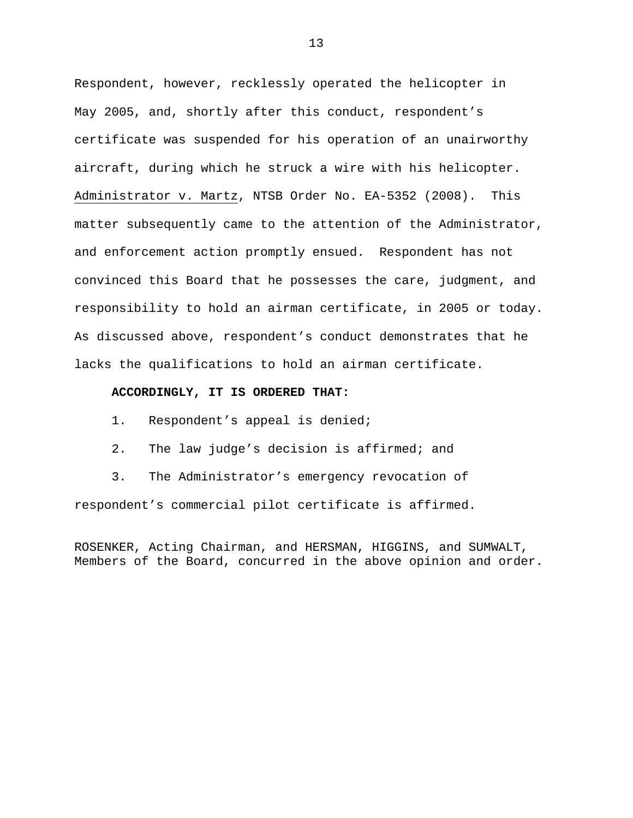Respondent, however, recklessly operated the helicopter in May 2005, and, shortly after this conduct, respondent's certificate was suspended for his operation of an unairworthy aircraft, during which he struck a wire with his helicopter. Administrator v. Martz, NTSB Order No. EA-5352 (2008). This matter subsequently came to the attention of the Administrator, and enforcement action promptly ensued. Respondent has not convinced this Board that he possesses the care, judgment, and responsibility to hold an airman certificate, in 2005 or today. As discussed above, respondent's conduct demonstrates that he lacks the qualifications to hold an airman certificate.

### **ACCORDINGLY, IT IS ORDERED THAT:**

- 1. Respondent's appeal is denied;
- 2. The law judge's decision is affirmed; and

3. The Administrator's emergency revocation of respondent's commercial pilot certificate is affirmed.

ROSENKER, Acting Chairman, and HERSMAN, HIGGINS, and SUMWALT, Members of the Board, concurred in the above opinion and order.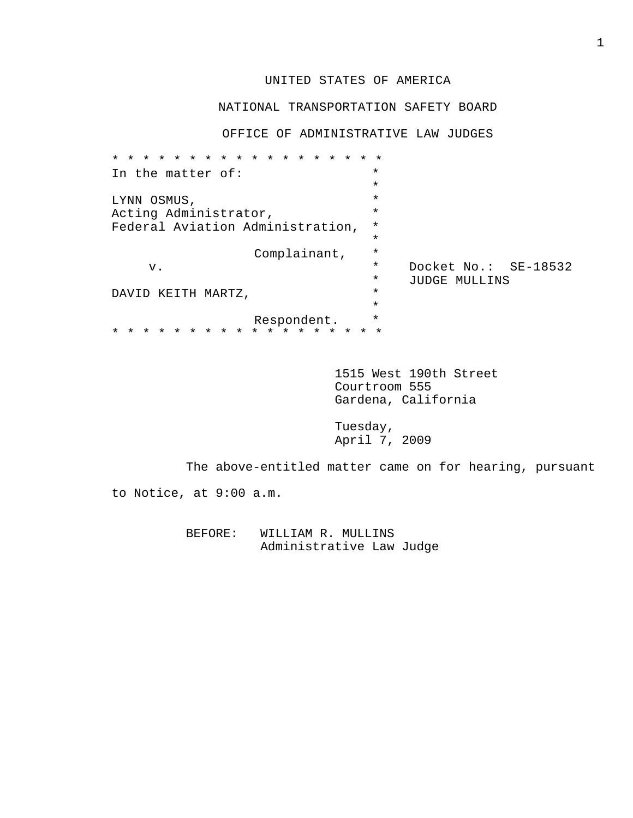# UNITED STATES OF AMERICA

## NATIONAL TRANSPORTATION SAFETY BOARD

OFFICE OF ADMINISTRATIVE LAW JUDGES

| In the matter of:                                              | $\star$  |                      |
|----------------------------------------------------------------|----------|----------------------|
|                                                                | $\star$  |                      |
| LYNN OSMUS,                                                    | $\star$  |                      |
| Acting Administrator,                                          | $\star$  |                      |
| Federal Aviation Administration,                               | $\star$  |                      |
|                                                                | $\star$  |                      |
| Complainant,                                                   | $\star$  |                      |
| v.                                                             | $\star$  | Docket No.: SE-18532 |
|                                                                | $^\star$ | JUDGE MULLINS        |
| DAVID KEITH<br>MARTZ,                                          | $\star$  |                      |
|                                                                | $\star$  |                      |
| Respondent.                                                    | $\star$  |                      |
| $\star$<br>$\star$<br>$\star$<br>$\star$<br>$\star$<br>$\star$ |          |                      |

 1515 West 190th Street Courtroom 555 Gardena, California

 Tuesday, April 7, 2009

The above-entitled matter came on for hearing, pursuant

to Notice, at 9:00 a.m.

 BEFORE: WILLIAM R. MULLINS Administrative Law Judge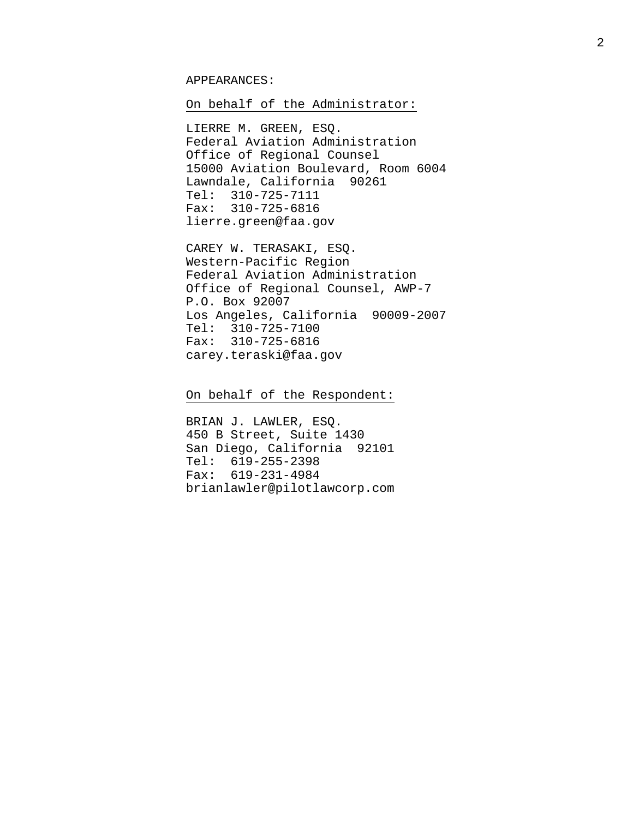### APPEARANCES:

## On behalf of the Administrator:

 LIERRE M. GREEN, ESQ. Federal Aviation Administration Office of Regional Counsel 15000 Aviation Boulevard, Room 6004 Lawndale, California 90261 Tel: 310-725-7111 Fax: 310-725-6816 lierre.green@faa.gov

CAREY W. TERASAKI, ESQ. Western-Pacific Region Federal Aviation Administration Office of Regional Counsel, AWP-7 P.O. Box 92007 Los Angeles, California 90009-2007 Tel: 310-725-7100 Fax: 310-725-6816 carey.teraski@faa.gov

On behalf of the Respondent:

 BRIAN J. LAWLER, ESQ. 450 B Street, Suite 1430 San Diego, California 92101 Tel: 619-255-2398 Fax: 619-231-4984 brianlawler@pilotlawcorp.com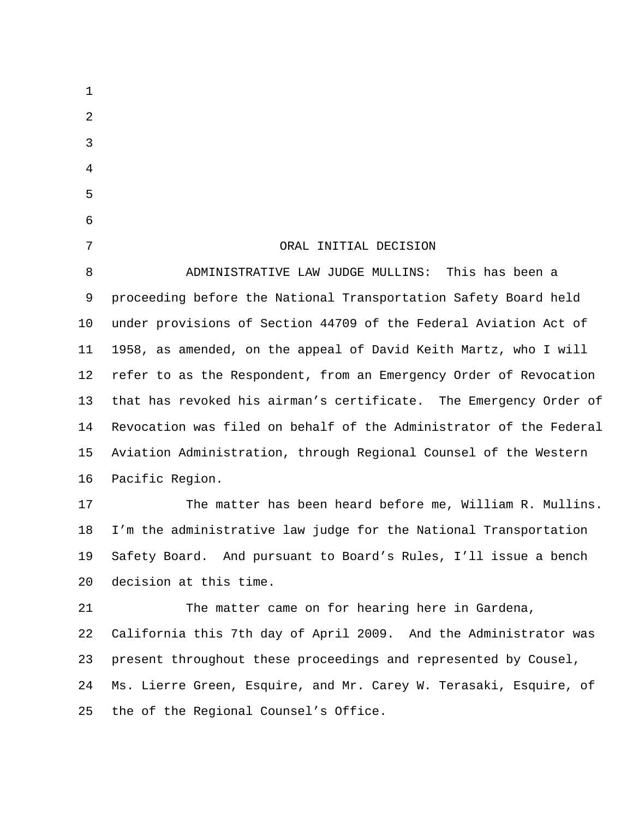| $\mathbf 1$    |                                                                    |
|----------------|--------------------------------------------------------------------|
| 2              |                                                                    |
| $\mathfrak{Z}$ |                                                                    |
| $\overline{4}$ |                                                                    |
| 5              |                                                                    |
| 6              |                                                                    |
| 7              | ORAL INITIAL DECISION                                              |
| 8              | ADMINISTRATIVE LAW JUDGE MULLINS:<br>This has been a               |
| 9              | proceeding before the National Transportation Safety Board held    |
| 10             | under provisions of Section 44709 of the Federal Aviation Act of   |
| 11             | 1958, as amended, on the appeal of David Keith Martz, who I will   |
| 12             | refer to as the Respondent, from an Emergency Order of Revocation  |
| 13             | that has revoked his airman's certificate. The Emergency Order of  |
| 14             | Revocation was filed on behalf of the Administrator of the Federal |
| 15             | Aviation Administration, through Regional Counsel of the Western   |
| 16             | Pacific Region.                                                    |
| 17             | The matter has been heard before me, William R. Mullins.           |
| 18             | I'm the administrative law judge for the National Transportation   |
| 19             | Safety Board. And pursuant to Board's Rules, I'll issue a bench    |
| 20             | decision at this time.                                             |
| 21             | The matter came on for hearing here in Gardena,                    |
| 22             | California this 7th day of April 2009. And the Administrator was   |
| 23             | present throughout these proceedings and represented by Cousel,    |
| 24             | Ms. Lierre Green, Esquire, and Mr. Carey W. Terasaki, Esquire, of  |
| 25             | the of the Regional Counsel's Office.                              |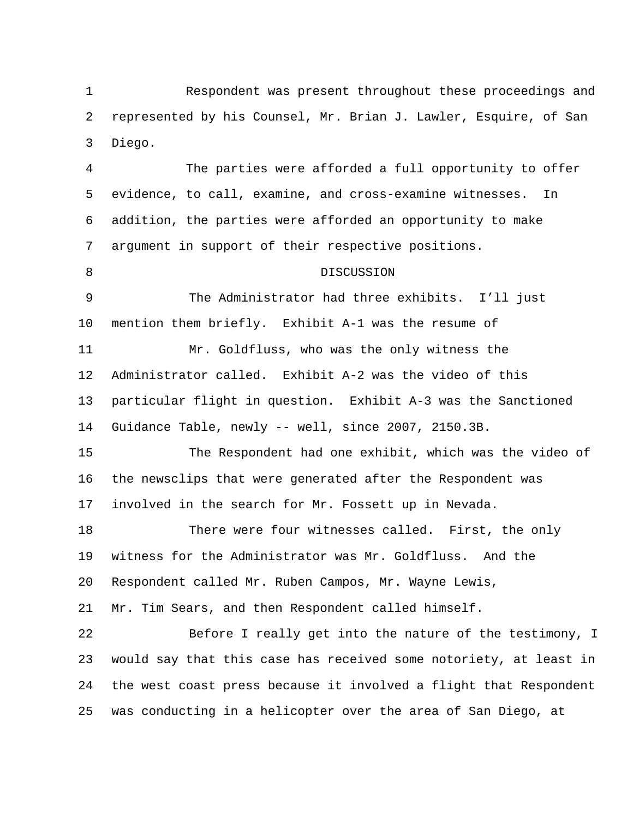Respondent was present throughout these proceedings and represented by his Counsel, Mr. Brian J. Lawler, Esquire, of San Diego. 1 2 3

4 5 6 7 8 9 10 11 12 13 14 15 16 17 18 19 The parties were afforded a full opportunity to offer evidence, to call, examine, and cross-examine witnesses. In addition, the parties were afforded an opportunity to make argument in support of their respective positions. DISCUSSION The Administrator had three exhibits. I'll just mention them briefly. Exhibit A-1 was the resume of Mr. Goldfluss, who was the only witness the Administrator called. Exhibit A-2 was the video of this particular flight in question. Exhibit A-3 was the Sanctioned Guidance Table, newly -- well, since 2007, 2150.3B. The Respondent had one exhibit, which was the video of the newsclips that were generated after the Respondent was involved in the search for Mr. Fossett up in Nevada. There were four witnesses called. First, the only witness for the Administrator was Mr. Goldfluss. And the

20 Respondent called Mr. Ruben Campos, Mr. Wayne Lewis,

21 Mr. Tim Sears, and then Respondent called himself.

22 23 24 25 Before I really get into the nature of the testimony, I would say that this case has received some notoriety, at least in the west coast press because it involved a flight that Respondent was conducting in a helicopter over the area of San Diego, at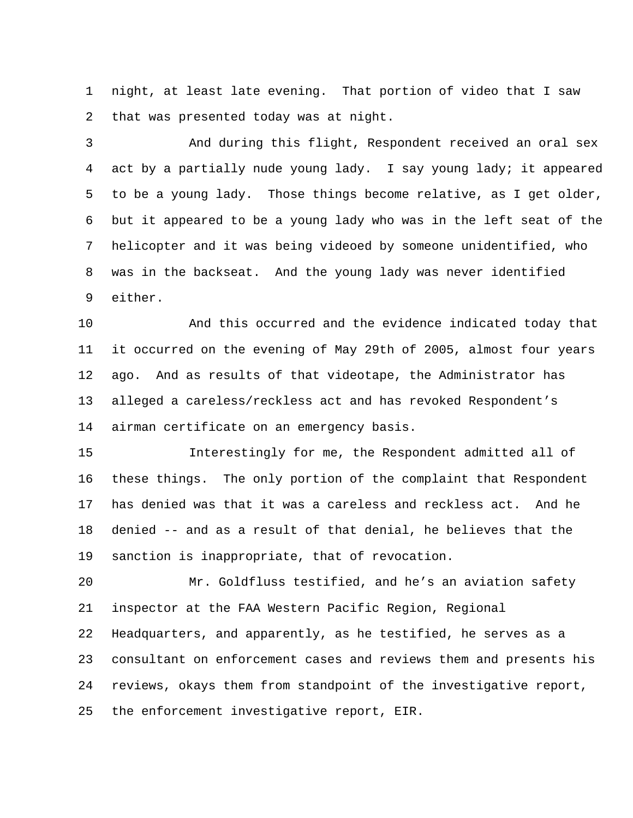night, at least late evening. That portion of video that I saw that was presented today was at night. 1 2

3 4 5 6 7 8 9 And during this flight, Respondent received an oral sex act by a partially nude young lady. I say young lady; it appeared to be a young lady. Those things become relative, as I get older, but it appeared to be a young lady who was in the left seat of the helicopter and it was being videoed by someone unidentified, who was in the backseat. And the young lady was never identified either.

10 11 12 13 14 And this occurred and the evidence indicated today that it occurred on the evening of May 29th of 2005, almost four years ago. And as results of that videotape, the Administrator has alleged a careless/reckless act and has revoked Respondent's airman certificate on an emergency basis.

15 16 17 18 19 Interestingly for me, the Respondent admitted all of these things. The only portion of the complaint that Respondent has denied was that it was a careless and reckless act. And he denied -- and as a result of that denial, he believes that the sanction is inappropriate, that of revocation.

20 21 22 23 24 25 Mr. Goldfluss testified, and he's an aviation safety inspector at the FAA Western Pacific Region, Regional Headquarters, and apparently, as he testified, he serves as a consultant on enforcement cases and reviews them and presents his reviews, okays them from standpoint of the investigative report, the enforcement investigative report, EIR.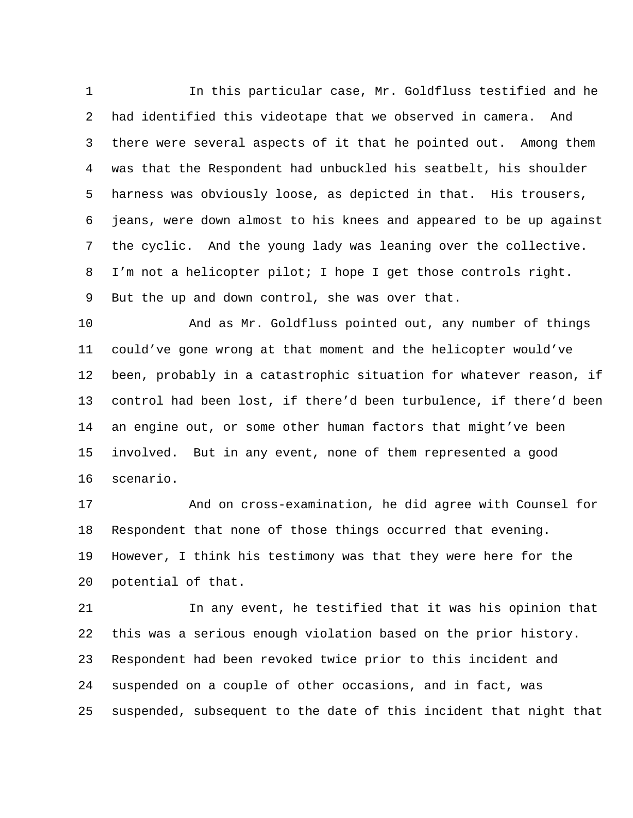In this particular case, Mr. Goldfluss testified and he had identified this videotape that we observed in camera. And there were several aspects of it that he pointed out. Among them was that the Respondent had unbuckled his seatbelt, his shoulder harness was obviously loose, as depicted in that. His trousers, jeans, were down almost to his knees and appeared to be up against the cyclic. And the young lady was leaning over the collective. I'm not a helicopter pilot; I hope I get those controls right. But the up and down control, she was over that. 1 2 3 4 5 6 7 8 9

10 11 12 13 14 15 16 And as Mr. Goldfluss pointed out, any number of things could've gone wrong at that moment and the helicopter would've been, probably in a catastrophic situation for whatever reason, if control had been lost, if there'd been turbulence, if there'd been an engine out, or some other human factors that might've been involved. But in any event, none of them represented a good scenario.

17 18 19 20 And on cross-examination, he did agree with Counsel for Respondent that none of those things occurred that evening. However, I think his testimony was that they were here for the potential of that.

21 22 23 24 25 In any event, he testified that it was his opinion that this was a serious enough violation based on the prior history. Respondent had been revoked twice prior to this incident and suspended on a couple of other occasions, and in fact, was suspended, subsequent to the date of this incident that night that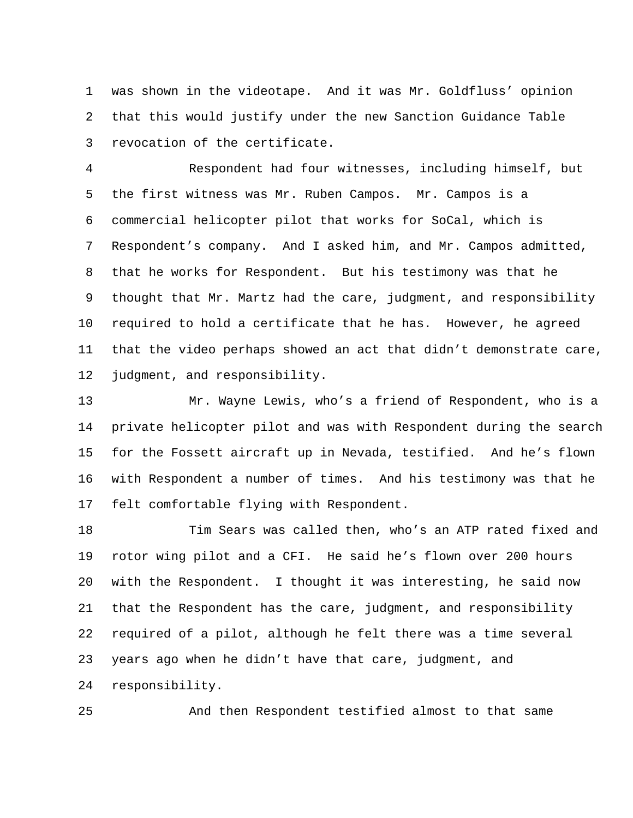was shown in the videotape. And it was Mr. Goldfluss' opinion that this would justify under the new Sanction Guidance Table revocation of the certificate. 1 2 3

4 5 6 7 8 9 10 11 12 Respondent had four witnesses, including himself, but the first witness was Mr. Ruben Campos. Mr. Campos is a commercial helicopter pilot that works for SoCal, which is Respondent's company. And I asked him, and Mr. Campos admitted, that he works for Respondent. But his testimony was that he thought that Mr. Martz had the care, judgment, and responsibility required to hold a certificate that he has. However, he agreed that the video perhaps showed an act that didn't demonstrate care, judgment, and responsibility.

13 14 15 16 17 Mr. Wayne Lewis, who's a friend of Respondent, who is a private helicopter pilot and was with Respondent during the search for the Fossett aircraft up in Nevada, testified. And he's flown with Respondent a number of times. And his testimony was that he felt comfortable flying with Respondent.

18 19 20 21 22 23 24 Tim Sears was called then, who's an ATP rated fixed and rotor wing pilot and a CFI. He said he's flown over 200 hours with the Respondent. I thought it was interesting, he said now that the Respondent has the care, judgment, and responsibility required of a pilot, although he felt there was a time several years ago when he didn't have that care, judgment, and responsibility.

And then Respondent testified almost to that same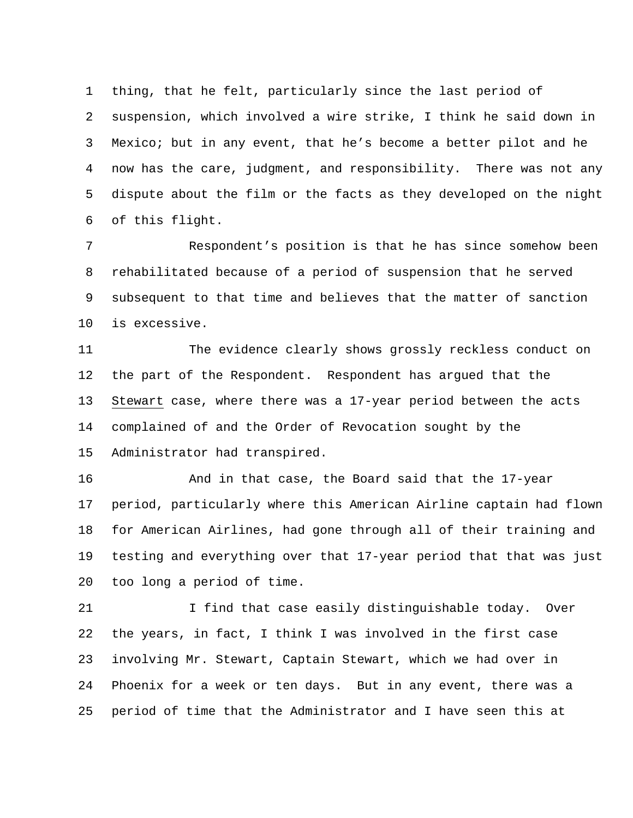thing, that he felt, particularly since the last period of suspension, which involved a wire strike, I think he said down in Mexico; but in any event, that he's become a better pilot and he now has the care, judgment, and responsibility. There was not any dispute about the film or the facts as they developed on the night of this flight. 1 2 3 4 5 6

7 8 9 10 Respondent's position is that he has since somehow been rehabilitated because of a period of suspension that he served subsequent to that time and believes that the matter of sanction is excessive.

11 12 The evidence clearly shows grossly reckless conduct on the part of the Respondent. Respondent has argued that the Stewart case, where there was a 17-year period between the acts complained of and the Order of Revocation sought by the Administrator had transpired. 13 14 15

16 17 18 19 20 And in that case, the Board said that the 17-year period, particularly where this American Airline captain had flown for American Airlines, had gone through all of their training and testing and everything over that 17-year period that that was just too long a period of time.

21 22 23 24 25 I find that case easily distinguishable today. Over the years, in fact, I think I was involved in the first case involving Mr. Stewart, Captain Stewart, which we had over in Phoenix for a week or ten days. But in any event, there was a period of time that the Administrator and I have seen this at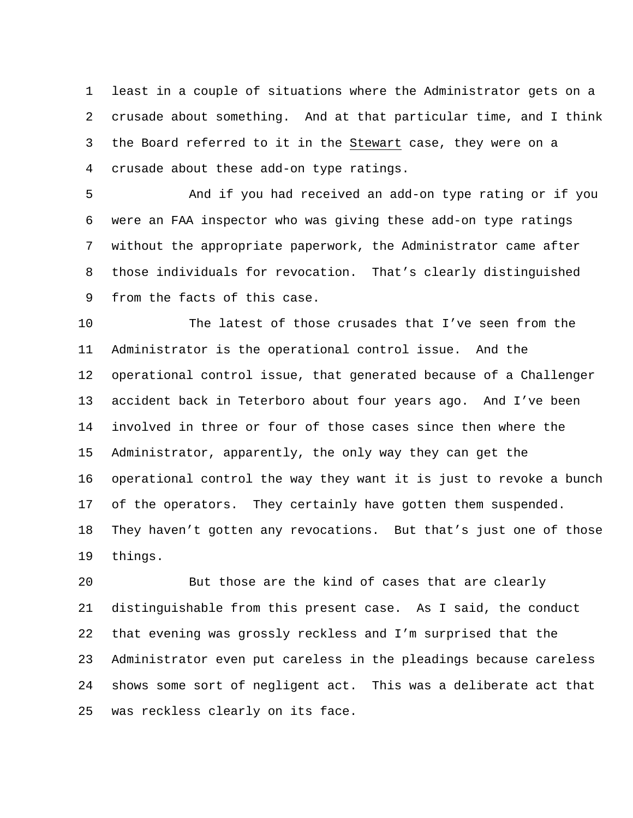least in a couple of situations where the Administrator gets on a crusade about something. And at that particular time, and I think the Board referred to it in the Stewart case, they were on a 1 2 crusade about these add-on type ratings. 3 4

5 6 7 8 9 And if you had received an add-on type rating or if you were an FAA inspector who was giving these add-on type ratings without the appropriate paperwork, the Administrator came after those individuals for revocation. That's clearly distinguished from the facts of this case.

10 11 12 13 14 15 16 17 18 19 The latest of those crusades that I've seen from the Administrator is the operational control issue. And the operational control issue, that generated because of a Challenger accident back in Teterboro about four years ago. And I've been involved in three or four of those cases since then where the Administrator, apparently, the only way they can get the operational control the way they want it is just to revoke a bunch of the operators. They certainly have gotten them suspended. They haven't gotten any revocations. But that's just one of those things.

20 21 22 23 24 25 But those are the kind of cases that are clearly distinguishable from this present case. As I said, the conduct that evening was grossly reckless and I'm surprised that the Administrator even put careless in the pleadings because careless shows some sort of negligent act. This was a deliberate act that was reckless clearly on its face.